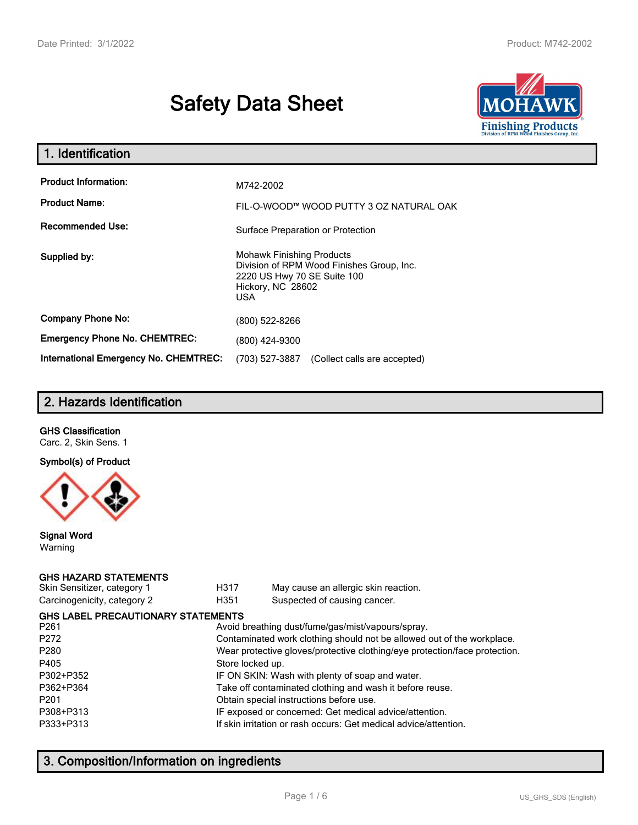# **Safety Data Sheet**



| 1. Identification                                   |                                                                                                                                                 |  |  |  |
|-----------------------------------------------------|-------------------------------------------------------------------------------------------------------------------------------------------------|--|--|--|
| <b>Product Information:</b><br><b>Product Name:</b> | M742-2002<br>FIL-O-WOOD™ WOOD PUTTY 3 OZ NATURAL OAK                                                                                            |  |  |  |
| <b>Recommended Use:</b>                             | Surface Preparation or Protection                                                                                                               |  |  |  |
| Supplied by:                                        | <b>Mohawk Finishing Products</b><br>Division of RPM Wood Finishes Group, Inc.<br>2220 US Hwy 70 SE Suite 100<br>Hickory, NC 28602<br><b>USA</b> |  |  |  |
| <b>Company Phone No:</b>                            | (800) 522-8266                                                                                                                                  |  |  |  |
| <b>Emergency Phone No. CHEMTREC:</b>                | (800) 424-9300                                                                                                                                  |  |  |  |
| <b>International Emergency No. CHEMTREC:</b>        | (703) 527-3887<br>(Collect calls are accepted)                                                                                                  |  |  |  |

# **2. Hazards Identification**

#### **GHS Classification**

Carc. 2, Skin Sens. 1

#### **Symbol(s) of Product**



#### **Signal Word** Warning

#### **GHS HAZARD STATEMENTS**

| Skin Sensitizer, category 1 |  |
|-----------------------------|--|
| Carcinogenicity, category 2 |  |

H317 May cause an allergic skin reaction. genicity, category 2 **H351** Suspected of causing cancer.

| <b>GHS LABEL PRECAUTIONARY STATEMENTS</b>                                  |
|----------------------------------------------------------------------------|
| Avoid breathing dust/fume/gas/mist/vapours/spray.                          |
| Contaminated work clothing should not be allowed out of the workplace.     |
| Wear protective gloves/protective clothing/eye protection/face protection. |
| Store locked up.                                                           |
| IF ON SKIN: Wash with plenty of soap and water.                            |
| Take off contaminated clothing and wash it before reuse.                   |
| Obtain special instructions before use.                                    |
| IF exposed or concerned: Get medical advice/attention.                     |
| If skin irritation or rash occurs: Get medical advice/attention.           |
|                                                                            |

# **3. Composition/Information on ingredients**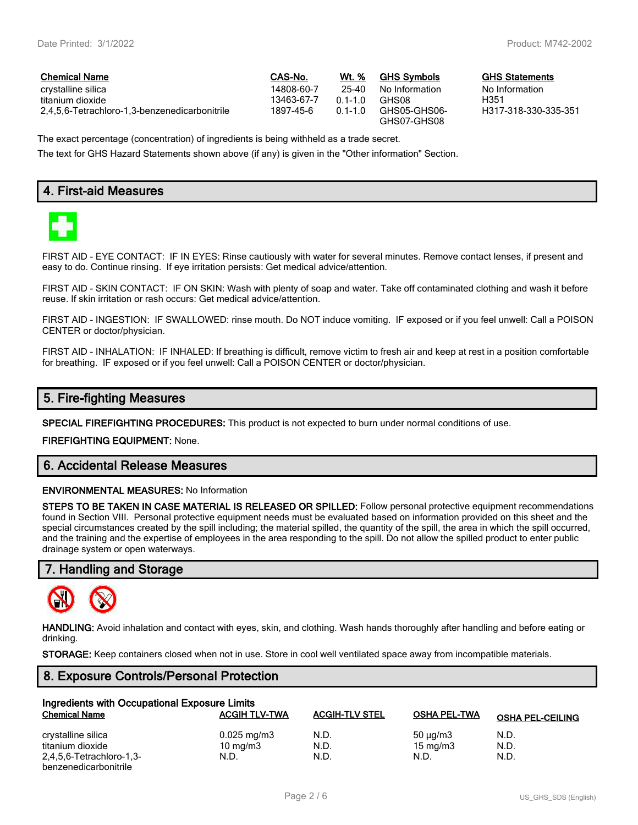$GHS$  Statements No Information<br>H351

H317-318-330-335-351

| <b>Chemical Name</b>                          | CAS-No.    | Wt. %     | <b>GHS Symbols</b>          | <b>GHS</b> |
|-----------------------------------------------|------------|-----------|-----------------------------|------------|
| crystalline silica                            | 14808-60-7 | 25-40     | No Information              | No In      |
| titanium dioxide                              | 13463-67-7 | $01-10$   | GHS08                       | H351       |
| 2.4.5.6-Tetrachloro-1.3-benzenedicarbonitrile | 1897-45-6  | $01 - 10$ | GHS05-GHS06-<br>GHS07-GHS08 | H317       |

The exact percentage (concentration) of ingredients is being withheld as a trade secret.

The text for GHS Hazard Statements shown above (if any) is given in the "Other information" Section.

## **4. First-aid Measures**



FIRST AID - EYE CONTACT: IF IN EYES: Rinse cautiously with water for several minutes. Remove contact lenses, if present and easy to do. Continue rinsing. If eye irritation persists: Get medical advice/attention.

FIRST AID - SKIN CONTACT: IF ON SKIN: Wash with plenty of soap and water. Take off contaminated clothing and wash it before reuse. If skin irritation or rash occurs: Get medical advice/attention.

FIRST AID - INGESTION: IF SWALLOWED: rinse mouth. Do NOT induce vomiting. IF exposed or if you feel unwell: Call a POISON CENTER or doctor/physician.

FIRST AID - INHALATION: IF INHALED: If breathing is difficult, remove victim to fresh air and keep at rest in a position comfortable for breathing. IF exposed or if you feel unwell: Call a POISON CENTER or doctor/physician.

## **5. Fire-fighting Measures**

**SPECIAL FIREFIGHTING PROCEDURES:** This product is not expected to burn under normal conditions of use.

**FIREFIGHTING EQUIPMENT:** None.

## **6. Accidental Release Measures**

#### **ENVIRONMENTAL MEASURES:** No Information

**STEPS TO BE TAKEN IN CASE MATERIAL IS RELEASED OR SPILLED:** Follow personal protective equipment recommendations found in Section VIII. Personal protective equipment needs must be evaluated based on information provided on this sheet and the special circumstances created by the spill including; the material spilled, the quantity of the spill, the area in which the spill occurred, and the training and the expertise of employees in the area responding to the spill. Do not allow the spilled product to enter public drainage system or open waterways.

#### **7. Handling and Storage**



**HANDLING:** Avoid inhalation and contact with eyes, skin, and clothing. Wash hands thoroughly after handling and before eating or drinking.

**STORAGE:** Keep containers closed when not in use. Store in cool well ventilated space away from incompatible materials.

#### **8. Exposure Controls/Personal Protection**

| Ingredients with Occupational Exposure Limits |                         |                       |                     |                         |  |  |
|-----------------------------------------------|-------------------------|-----------------------|---------------------|-------------------------|--|--|
| <b>Chemical Name</b>                          | <b>ACGIH TLV-TWA</b>    | <b>ACGIH-TLV STEL</b> | <b>OSHA PEL-TWA</b> | <b>OSHA PEL-CEILING</b> |  |  |
| crystalline silica                            | $0.025 \,\mathrm{mg/m}$ | N.D.                  | $50 \mu q/m3$       | N.D.                    |  |  |
| titanium dioxide                              | 10 $mq/m3$              | N.D.                  | $15 \text{ mg/m}$   | N.D.                    |  |  |
| 2,4,5,6-Tetrachloro-1,3-                      | N.D.                    | N.D.                  | N.D.                | N.D.                    |  |  |
| benzenedicarbonitrile                         |                         |                       |                     |                         |  |  |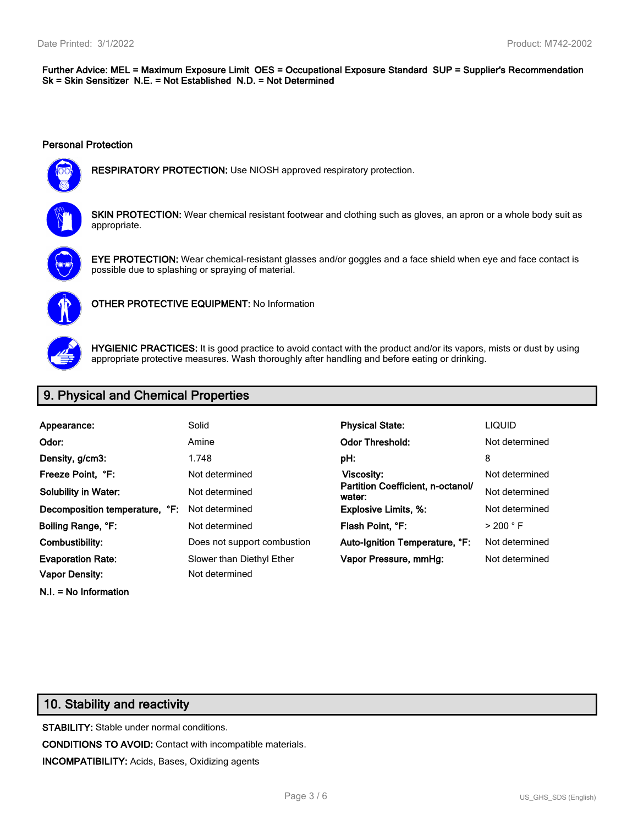#### **Further Advice: MEL = Maximum Exposure Limit OES = Occupational Exposure Standard SUP = Supplier's Recommendation Sk = Skin Sensitizer N.E. = Not Established N.D. = Not Determined**

#### **Personal Protection**



**RESPIRATORY PROTECTION:** Use NIOSH approved respiratory protection.



**SKIN PROTECTION:** Wear chemical resistant footwear and clothing such as gloves, an apron or a whole body suit as appropriate.



**EYE PROTECTION:** Wear chemical-resistant glasses and/or goggles and a face shield when eye and face contact is possible due to splashing or spraying of material.



**OTHER PROTECTIVE EQUIPMENT:** No Information



**HYGIENIC PRACTICES:** It is good practice to avoid contact with the product and/or its vapors, mists or dust by using appropriate protective measures. Wash thoroughly after handling and before eating or drinking.

# **9. Physical and Chemical Properties**

| Appearance:                    | Solid                       | <b>Physical State:</b>                      | <b>LIQUID</b>        |
|--------------------------------|-----------------------------|---------------------------------------------|----------------------|
| Odor:                          | Amine                       | <b>Odor Threshold:</b>                      | Not determined       |
| Density, g/cm3:                | 1.748                       | pH:                                         | 8                    |
| Freeze Point. °F:              | Not determined              | Viscosity:                                  | Not determined       |
| <b>Solubility in Water:</b>    | Not determined              | Partition Coefficient, n-octanol/<br>water: | Not determined       |
| Decomposition temperature, °F: | Not determined              | <b>Explosive Limits, %:</b>                 | Not determined       |
| Boiling Range, °F:             | Not determined              | Flash Point. °F:                            | $>$ 200 $^{\circ}$ F |
| Combustibility:                | Does not support combustion | Auto-Ignition Temperature, °F:              | Not determined       |
| <b>Evaporation Rate:</b>       | Slower than Diethyl Ether   | Vapor Pressure, mmHq:                       | Not determined       |
| <b>Vapor Density:</b>          | Not determined              |                                             |                      |

**N.I. = No Information**

# **10. Stability and reactivity**

**STABILITY:** Stable under normal conditions. **CONDITIONS TO AVOID:** Contact with incompatible materials. **INCOMPATIBILITY:** Acids, Bases, Oxidizing agents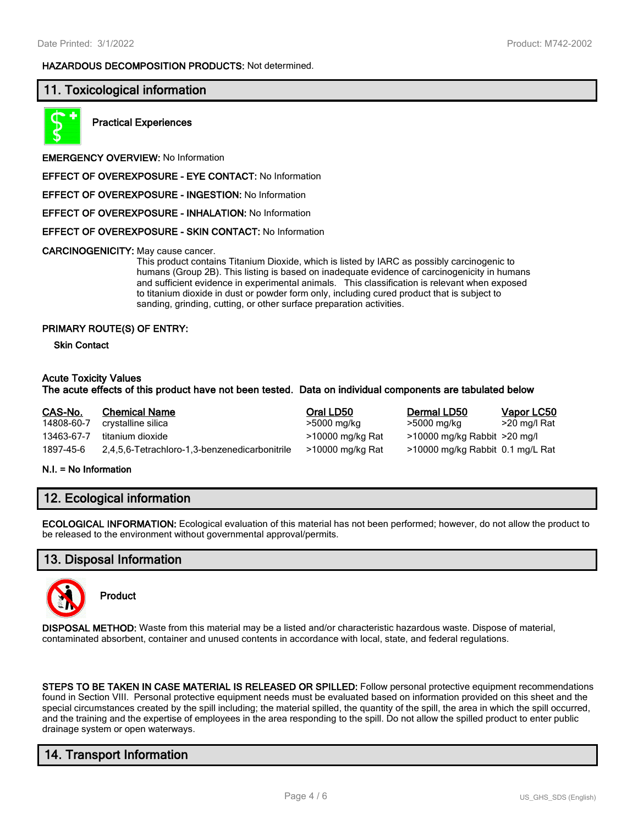#### **HAZARDOUS DECOMPOSITION PRODUCTS:** Not determined.

## **11. Toxicological information**



**Practical Experiences**

**EMERGENCY OVERVIEW:** No Information

**EFFECT OF OVEREXPOSURE - EYE CONTACT:** No Information

**EFFECT OF OVEREXPOSURE - INGESTION:** No Information

**EFFECT OF OVEREXPOSURE - INHALATION:** No Information

**EFFECT OF OVEREXPOSURE - SKIN CONTACT:** No Information

**CARCINOGENICITY:** May cause cancer.

This product contains Titanium Dioxide, which is listed by IARC as possibly carcinogenic to humans (Group 2B). This listing is based on inadequate evidence of carcinogenicity in humans and sufficient evidence in experimental animals. This classification is relevant when exposed to titanium dioxide in dust or powder form only, including cured product that is subject to sanding, grinding, cutting, or other surface preparation activities.

#### **PRIMARY ROUTE(S) OF ENTRY:**

**Skin Contact**

#### **Acute Toxicity Values**

#### **The acute effects of this product have not been tested. Data on individual components are tabulated below**

| CAS-No.    | <b>Chemical Name</b>                          | Oral LD50        | Dermal LD50                      | Vapor LC50   |
|------------|-----------------------------------------------|------------------|----------------------------------|--------------|
| 14808-60-7 | crystalline silica                            | >5000 mg/kg      | >5000 mg/kg                      | >20 mg/l Rat |
| 13463-67-7 | titanium dioxide                              | >10000 mg/kg Rat | $>10000$ mg/kg Rabbit $>20$ mg/l |              |
| 1897-45-6  | 2,4,5,6-Tetrachloro-1,3-benzenedicarbonitrile | >10000 mg/kg Rat | >10000 mg/kg Rabbit 0.1 mg/L Rat |              |

#### **N.I. = No Information**

## **12. Ecological information**

**ECOLOGICAL INFORMATION:** Ecological evaluation of this material has not been performed; however, do not allow the product to be released to the environment without governmental approval/permits.

#### **13. Disposal Information**



**Product**

**DISPOSAL METHOD:** Waste from this material may be a listed and/or characteristic hazardous waste. Dispose of material, contaminated absorbent, container and unused contents in accordance with local, state, and federal regulations.

**STEPS TO BE TAKEN IN CASE MATERIAL IS RELEASED OR SPILLED:** Follow personal protective equipment recommendations found in Section VIII. Personal protective equipment needs must be evaluated based on information provided on this sheet and the special circumstances created by the spill including; the material spilled, the quantity of the spill, the area in which the spill occurred, and the training and the expertise of employees in the area responding to the spill. Do not allow the spilled product to enter public drainage system or open waterways.

## **14. Transport Information**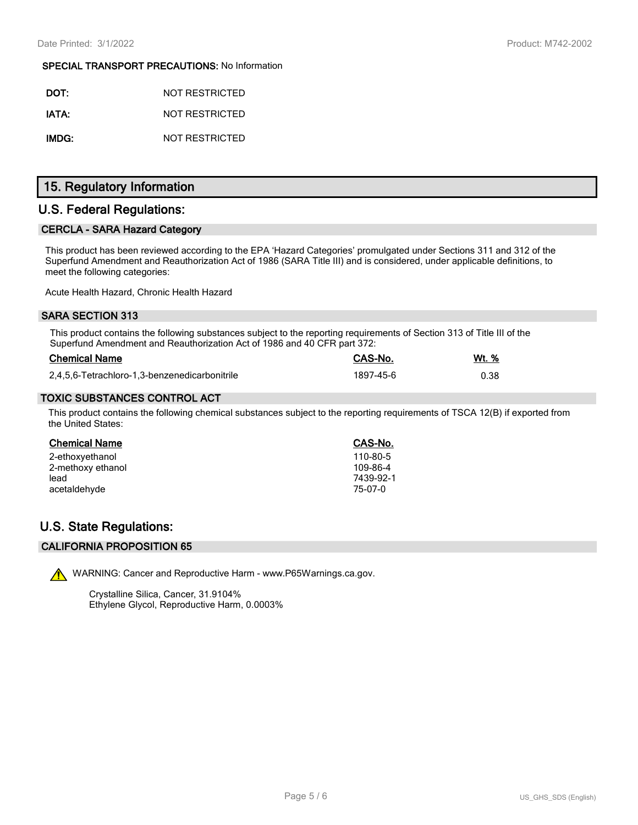#### **SPECIAL TRANSPORT PRECAUTIONS:** No Information

| DOT:  | NOT RESTRICTED |
|-------|----------------|
| IATA: | NOT RESTRICTED |
| IMDG: | NOT RESTRICTED |

# **15. Regulatory Information**

## **U.S. Federal Regulations:**

## **CERCLA - SARA Hazard Category**

This product has been reviewed according to the EPA 'Hazard Categories' promulgated under Sections 311 and 312 of the Superfund Amendment and Reauthorization Act of 1986 (SARA Title III) and is considered, under applicable definitions, to meet the following categories:

Acute Health Hazard, Chronic Health Hazard

#### **SARA SECTION 313**

This product contains the following substances subject to the reporting requirements of Section 313 of Title III of the Superfund Amendment and Reauthorization Act of 1986 and 40 CFR part 372:

| <b>Chemical Name</b>                          | CAS-No.   | Wt. % |
|-----------------------------------------------|-----------|-------|
| 2,4,5,6-Tetrachloro-1,3-benzenedicarbonitrile | 1897-45-6 | 0.38  |

#### **TOXIC SUBSTANCES CONTROL ACT**

This product contains the following chemical substances subject to the reporting requirements of TSCA 12(B) if exported from the United States:

| Chemical Name     | CAS-No.   |
|-------------------|-----------|
| 2-ethoxyethanol   | 110-80-5  |
| 2-methoxy ethanol | 109-86-4  |
| lead              | 7439-92-1 |
| acetaldehyde      | 75-07-0   |

## **U.S. State Regulations:**

## **CALIFORNIA PROPOSITION 65**



WARNING: Cancer and Reproductive Harm - www.P65Warnings.ca.gov.

Crystalline Silica, Cancer, 31.9104% Ethylene Glycol, Reproductive Harm, 0.0003%